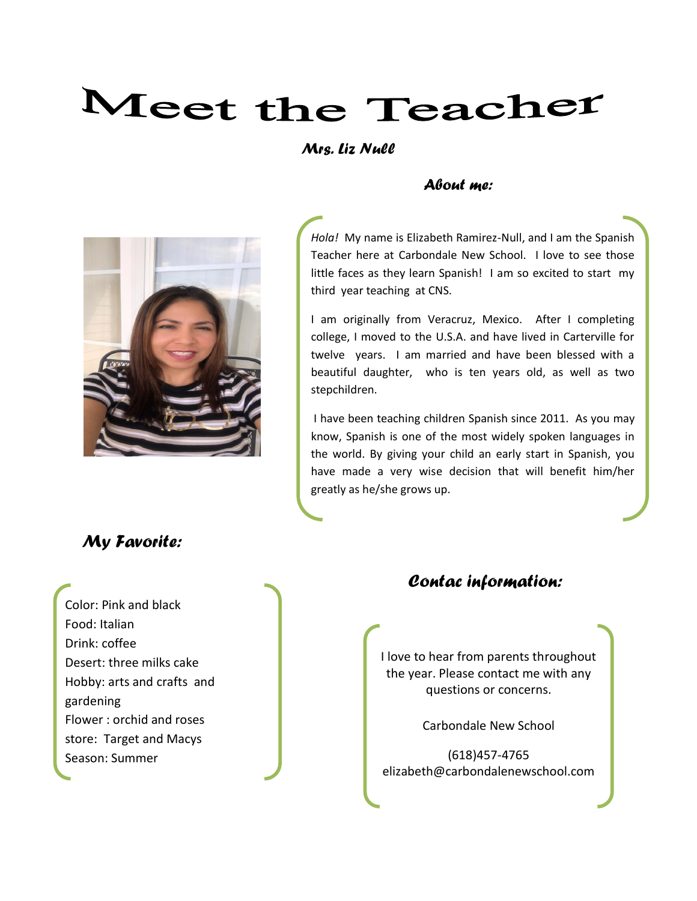# Meet the Teacher

#### *Mrs. Liz Null*

#### *About me:*



# *My Favorite:*

Color: Pink and black Food: Italian Drink: coffee Desert: three milks cake Hobby: arts and crafts and gardening Flower : orchid and roses store: Target and Macys Season: Summer

*Hola!* My name is Elizabeth Ramirez-Null, and I am the Spanish Teacher here at Carbondale New School. I love to see those little faces as they learn Spanish! I am so excited to start my third year teaching at CNS.

I am originally from Veracruz, Mexico. After I completing college, I moved to the U.S.A. and have lived in Carterville for twelve years. I am married and have been blessed with a beautiful daughter, who is ten years old, as well as two stepchildren.

I have been teaching children Spanish since 2011. As you may know, Spanish is one of the most widely spoken languages in the world. By giving your child an early start in Spanish, you have made a very wise decision that will benefit him/her greatly as he/she grows up.

#### *Contac information:*

I love to hear from parents throughout the year. Please contact me with any questions or concerns.

Carbondale New School

(618)457-4765 elizabeth@carbondalenewschool.com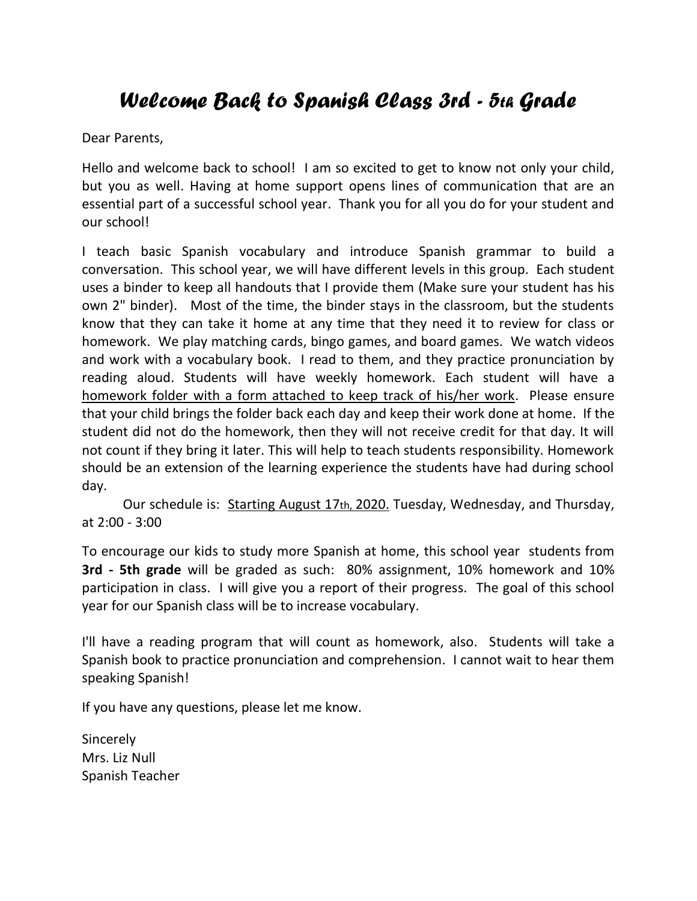# *Welcome Back to Spanish Class 3rd - 5th Grade*

Dear Parents,

Hello and welcome back to school! I am so excited to get to know not only your child, but you as well. Having at home support opens lines of communication that are an essential part of a successful school year. Thank you for all you do for your student and our school!

I teach basic Spanish vocabulary and introduce Spanish grammar to build a conversation. This school year, we will have different levels in this group. Each student uses a binder to keep all handouts that I provide them (Make sure your student has his own 2" binder). Most of the time, the binder stays in the classroom, but the students know that they can take it home at any time that they need it to review for class or homework. We play matching cards, bingo games, and board games. We watch videos and work with a vocabulary book. I read to them, and they practice pronunciation by reading aloud. Students will have weekly homework. Each student will have a homework folder with a form attached to keep track of his/her work. Please ensure that your child brings the folder back each day and keep their work done at home. If the student did not do the homework, then they will not receive credit for that day. It will not count if they bring it later. This will help to teach students responsibility. Homework should be an extension of the learning experience the students have had during school day.

Our schedule is: Starting August 17th, 2020. Tuesday, Wednesday, and Thursday, at 2:00 - 3:00

To encourage our kids to study more Spanish at home, this school year students from **3rd - 5th grade** will be graded as such: 80% assignment, 10% homework and 10% participation in class. I will give you a report of their progress. The goal of this school year for our Spanish class will be to increase vocabulary.

I'll have a reading program that will count as homework, also. Students will take a Spanish book to practice pronunciation and comprehension. I cannot wait to hear them speaking Spanish!

If you have any questions, please let me know.

**Sincerely** Mrs. Liz Null Spanish Teacher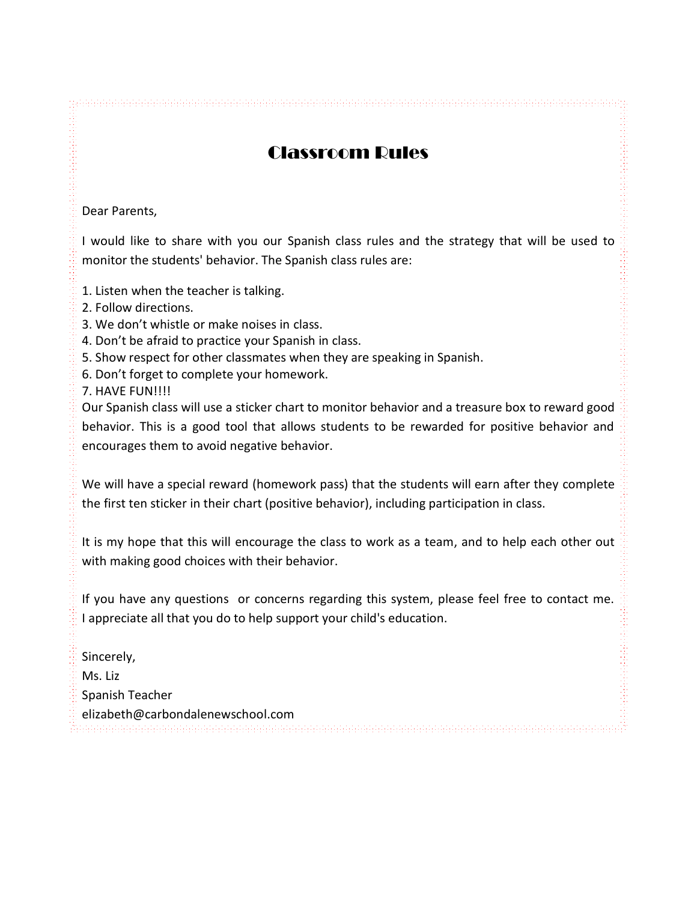### Classroom Rules

Dear Parents,

I would like to share with you our Spanish class rules and the strategy that will be used to monitor the students' behavior. The Spanish class rules are:

- 1. Listen when the teacher is talking.
- 2. Follow directions.
- 3. We don't whistle or make noises in class.
- 4. Don't be afraid to practice your Spanish in class.
- 5. Show respect for other classmates when they are speaking in Spanish.
- 6. Don't forget to complete your homework.
- 7. HAVE FUN!!!!

Our Spanish class will use a sticker chart to monitor behavior and a treasure box to reward good behavior. This is a good tool that allows students to be rewarded for positive behavior and encourages them to avoid negative behavior.

We will have a special reward (homework pass) that the students will earn after they complete the first ten sticker in their chart (positive behavior), including participation in class.

It is my hope that this will encourage the class to work as a team, and to help each other out with making good choices with their behavior.

If you have any questions or concerns regarding this system, please feel free to contact me. I appreciate all that you do to help support your child's education.

Sincerely,

Ms. Liz

Spanish Teacher

 $\frac{m}{2}$ elizabeth@carbondalenewschool.com $\frac{m}{2}$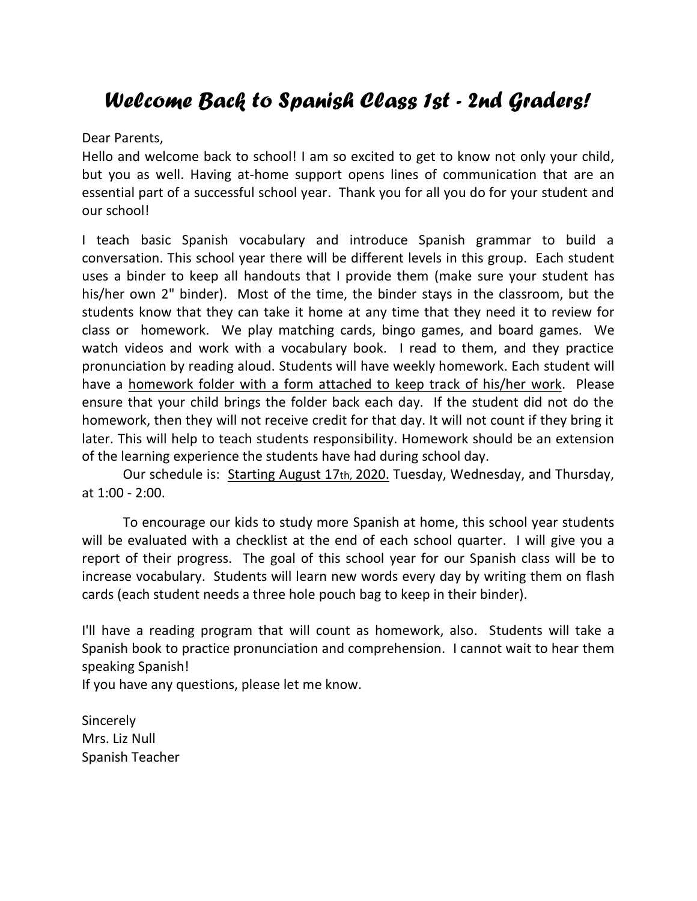# *Welcome Back to Spanish Class 1st - 2nd Graders!*

Dear Parents,

Hello and welcome back to school! I am so excited to get to know not only your child, but you as well. Having at-home support opens lines of communication that are an essential part of a successful school year. Thank you for all you do for your student and our school!

I teach basic Spanish vocabulary and introduce Spanish grammar to build a conversation. This school year there will be different levels in this group. Each student uses a binder to keep all handouts that I provide them (make sure your student has his/her own 2" binder). Most of the time, the binder stays in the classroom, but the students know that they can take it home at any time that they need it to review for class or homework. We play matching cards, bingo games, and board games. We watch videos and work with a vocabulary book. I read to them, and they practice pronunciation by reading aloud. Students will have weekly homework. Each student will have a homework folder with a form attached to keep track of his/her work. Please ensure that your child brings the folder back each day. If the student did not do the homework, then they will not receive credit for that day. It will not count if they bring it later. This will help to teach students responsibility. Homework should be an extension of the learning experience the students have had during school day.

Our schedule is: Starting August 17th, 2020. Tuesday, Wednesday, and Thursday, at 1:00 - 2:00.

To encourage our kids to study more Spanish at home, this school year students will be evaluated with a checklist at the end of each school quarter. I will give you a report of their progress. The goal of this school year for our Spanish class will be to increase vocabulary. Students will learn new words every day by writing them on flash cards (each student needs a three hole pouch bag to keep in their binder).

I'll have a reading program that will count as homework, also. Students will take a Spanish book to practice pronunciation and comprehension. I cannot wait to hear them speaking Spanish!

If you have any questions, please let me know.

Sincerely Mrs. Liz Null Spanish Teacher